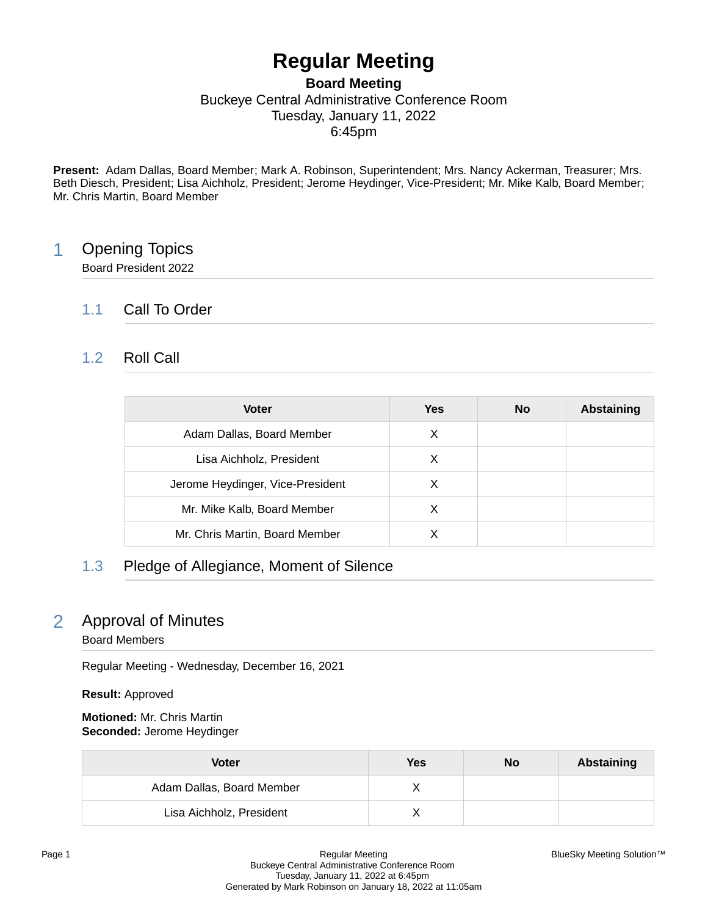# **Regular Meeting**

### **Board Meeting** Buckeye Central Administrative Conference Room Tuesday, January 11, 2022 6:45pm

**Present:** Adam Dallas, Board Member; Mark A. Robinson, Superintendent; Mrs. Nancy Ackerman, Treasurer; Mrs. Beth Diesch, President; Lisa Aichholz, President; Jerome Heydinger, Vice-President; Mr. Mike Kalb, Board Member; Mr. Chris Martin, Board Member

# 1 Opening Topics

Board President 2022

### 1.1 Call To Order

### 1.2 Roll Call

| <b>Voter</b>                     | Yes | <b>No</b> | <b>Abstaining</b> |
|----------------------------------|-----|-----------|-------------------|
| Adam Dallas, Board Member        | X   |           |                   |
| Lisa Aichholz, President         | X   |           |                   |
| Jerome Heydinger, Vice-President | X   |           |                   |
| Mr. Mike Kalb, Board Member      | х   |           |                   |
| Mr. Chris Martin, Board Member   | X   |           |                   |

### 1.3 Pledge of Allegiance, Moment of Silence

# 2 Approval of Minutes

#### Board Members

Regular Meeting - Wednesday, December 16, 2021

**Result:** Approved

**Motioned:** Mr. Chris Martin **Seconded:** Jerome Heydinger

| <b>Voter</b>              | Yes | No | Abstaining |
|---------------------------|-----|----|------------|
| Adam Dallas, Board Member |     |    |            |
| Lisa Aichholz, President  |     |    |            |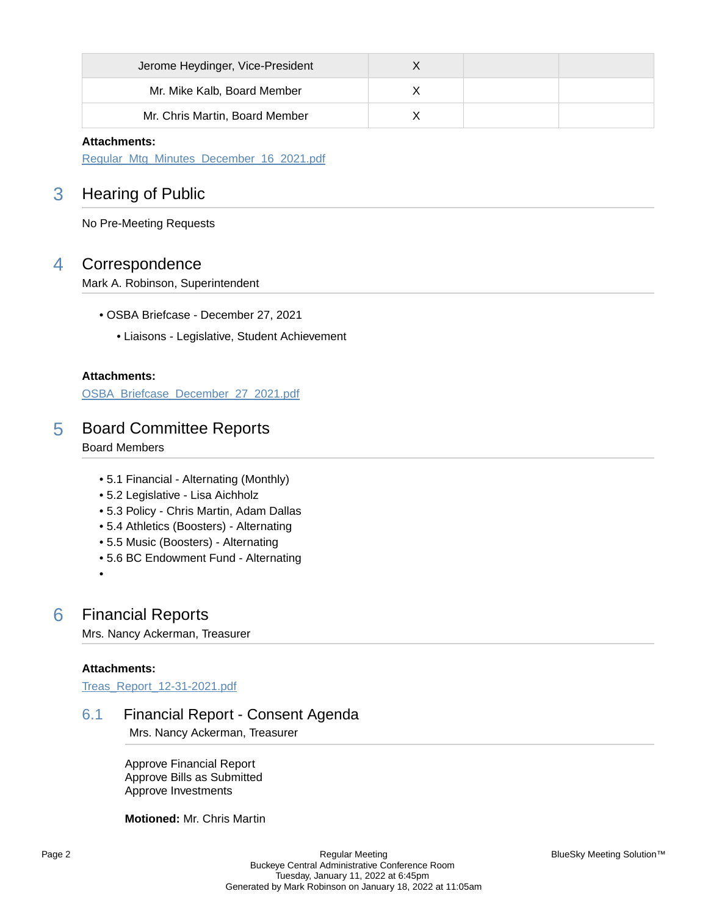| Jerome Heydinger, Vice-President |  |  |
|----------------------------------|--|--|
| Mr. Mike Kalb, Board Member      |  |  |
| Mr. Chris Martin, Board Member   |  |  |

#### **Attachments:**

[Regular\\_Mtg\\_Minutes\\_December\\_16\\_2021.pdf](https://bcbucks.blueskymeeting.com/meeting_groups/32/item_attachments/63461)

# 3 Hearing of Public

No Pre-Meeting Requests

### 4 Correspondence

Mark A. Robinson, Superintendent

- OSBA Briefcase December 27, 2021
	- Liaisons Legislative, Student Achievement

#### **Attachments:**

[OSBA\\_Briefcase\\_December\\_27\\_2021.pdf](https://bcbucks.blueskymeeting.com/meeting_groups/32/item_attachments/63452)

### 5 Board Committee Reports

Board Members

- 5.1 Financial Alternating (Monthly)
- 5.2 Legislative Lisa Aichholz
- 5.3 Policy Chris Martin, Adam Dallas
- 5.4 Athletics (Boosters) Alternating
- 5.5 Music (Boosters) Alternating
- 5.6 BC Endowment Fund Alternating
- •

### 6 Financial Reports

Mrs. Nancy Ackerman, Treasurer

#### **Attachments:**

[Treas\\_Report\\_12-31-2021.pdf](https://bcbucks.blueskymeeting.com/meeting_groups/32/item_attachments/63648)

### 6.1 Financial Report - Consent Agenda

Mrs. Nancy Ackerman, Treasurer

Approve Financial Report Approve Bills as Submitted Approve Investments

#### **Motioned:** Mr. Chris Martin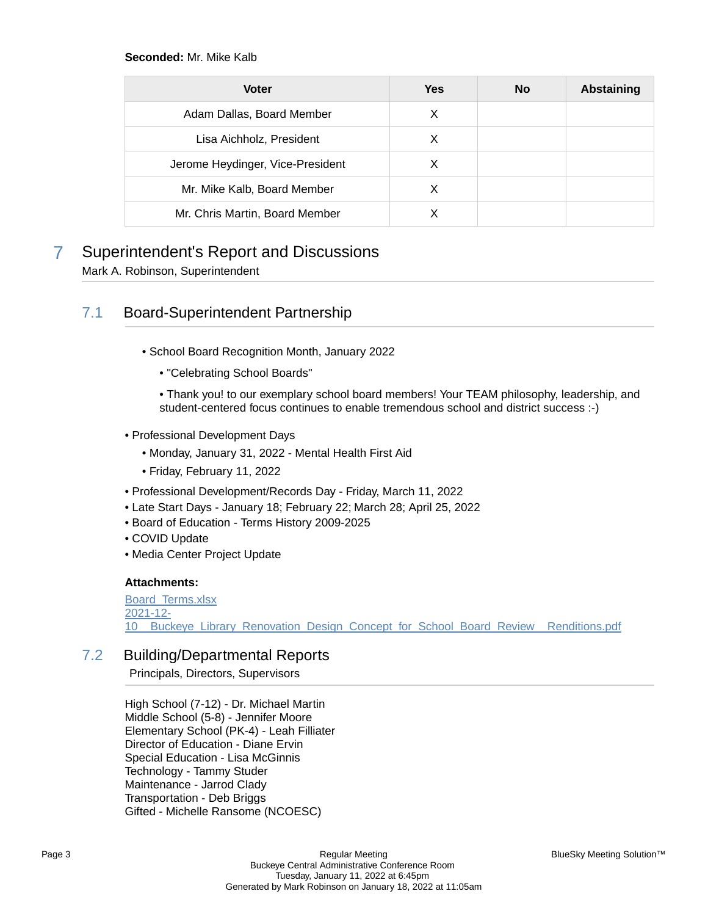#### **Seconded:** Mr. Mike Kalb

| <b>Voter</b>                     | <b>Yes</b> | <b>No</b> | <b>Abstaining</b> |
|----------------------------------|------------|-----------|-------------------|
| Adam Dallas, Board Member        | X          |           |                   |
| Lisa Aichholz, President         | х          |           |                   |
| Jerome Heydinger, Vice-President | X          |           |                   |
| Mr. Mike Kalb, Board Member      | X          |           |                   |
| Mr. Chris Martin, Board Member   |            |           |                   |

# 7 Superintendent's Report and Discussions

Mark A. Robinson, Superintendent

### 7.1 Board-Superintendent Partnership

- School Board Recognition Month, January 2022
	- "Celebrating School Boards"
	- Thank you! to our exemplary school board members! Your TEAM philosophy, leadership, and student-centered focus continues to enable tremendous school and district success :-)
- Professional Development Days
	- Monday, January 31, 2022 Mental Health First Aid
	- Friday, February 11, 2022
- Professional Development/Records Day Friday, March 11, 2022
- Late Start Days January 18; February 22; March 28; April 25, 2022
- Board of Education Terms History 2009-2025
- COVID Update
- Media Center Project Update

#### **Attachments:**

[Board\\_Terms.xlsx](https://bcbucks.blueskymeeting.com/meeting_groups/32/item_attachments/63787) [2021-12-](https://bcbucks.blueskymeeting.com/meeting_groups/32/item_attachments/63788) [10\\_\\_Buckeye\\_Library\\_Renovation\\_Design\\_Concept\\_for\\_School\\_Board\\_Review\\_\\_Renditions.pdf](https://bcbucks.blueskymeeting.com/meeting_groups/32/item_attachments/63788)

### 7.2 Building/Departmental Reports

Principals, Directors, Supervisors

High School (7-12) - Dr. Michael Martin Middle School (5-8) - Jennifer Moore Elementary School (PK-4) - Leah Filliater Director of Education - Diane Ervin Special Education - Lisa McGinnis Technology - Tammy Studer Maintenance - Jarrod Clady Transportation - Deb Briggs Gifted - Michelle Ransome (NCOESC)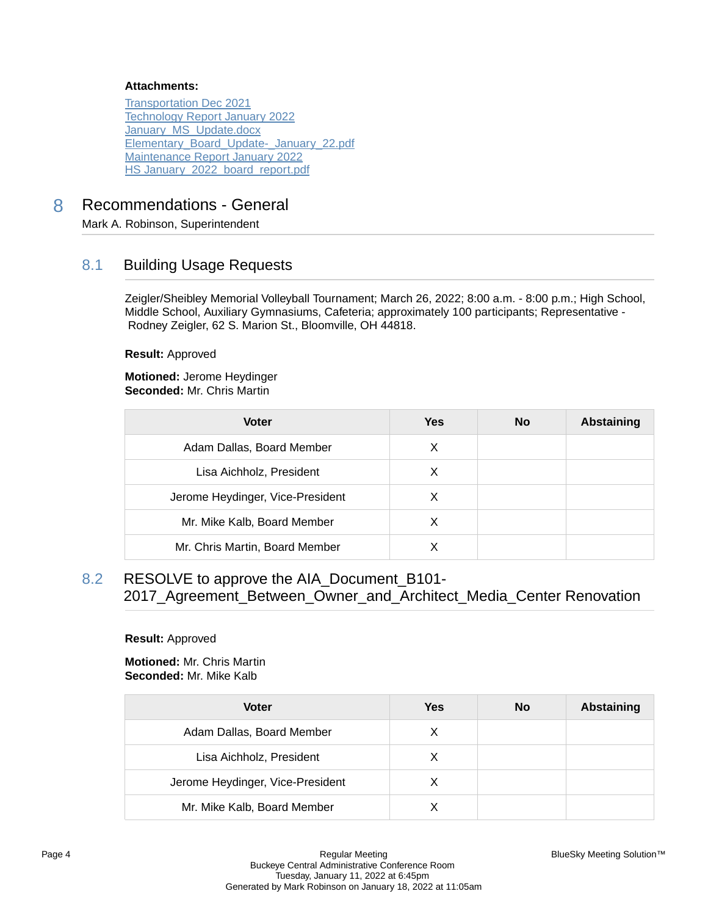#### **Attachments:**

[Transportation Dec 2021](https://bcbucks.blueskymeeting.com/meeting_groups/32/item_attachments/63456) [Technology Report January 2022](https://bcbucks.blueskymeeting.com/meeting_groups/32/item_attachments/63614) [January\\_MS\\_Update.docx](https://bcbucks.blueskymeeting.com/meeting_groups/32/item_attachments/63637) [Elementary\\_Board\\_Update-\\_January\\_22.pdf](https://bcbucks.blueskymeeting.com/meeting_groups/32/item_attachments/63724) [Maintenance Report January 2022](https://bcbucks.blueskymeeting.com/meeting_groups/32/item_attachments/63765) HS January 2022 board report.pdf

## 8 Recommendations - General

Mark A. Robinson, Superintendent

### 8.1 Building Usage Requests

Zeigler/Sheibley Memorial Volleyball Tournament; March 26, 2022; 8:00 a.m. - 8:00 p.m.; High School, Middle School, Auxiliary Gymnasiums, Cafeteria; approximately 100 participants; Representative - Rodney Zeigler, 62 S. Marion St., Bloomville, OH 44818.

**Result:** Approved

**Motioned:** Jerome Heydinger **Seconded:** Mr. Chris Martin

| <b>Voter</b>                     | Yes | <b>No</b> | <b>Abstaining</b> |
|----------------------------------|-----|-----------|-------------------|
| Adam Dallas, Board Member        | X   |           |                   |
| Lisa Aichholz, President         | X   |           |                   |
| Jerome Heydinger, Vice-President | х   |           |                   |
| Mr. Mike Kalb, Board Member      | х   |           |                   |
| Mr. Chris Martin, Board Member   |     |           |                   |

8.2 RESOLVE to approve the AIA\_Document\_B101- 2017\_Agreement\_Between\_Owner\_and\_Architect\_Media\_Center Renovation

#### **Result:** Approved

**Motioned:** Mr. Chris Martin **Seconded:** Mr. Mike Kalb

| <b>Voter</b>                     | Yes | No | <b>Abstaining</b> |
|----------------------------------|-----|----|-------------------|
| Adam Dallas, Board Member        | X   |    |                   |
| Lisa Aichholz, President         | х   |    |                   |
| Jerome Heydinger, Vice-President | X   |    |                   |
| Mr. Mike Kalb, Board Member      |     |    |                   |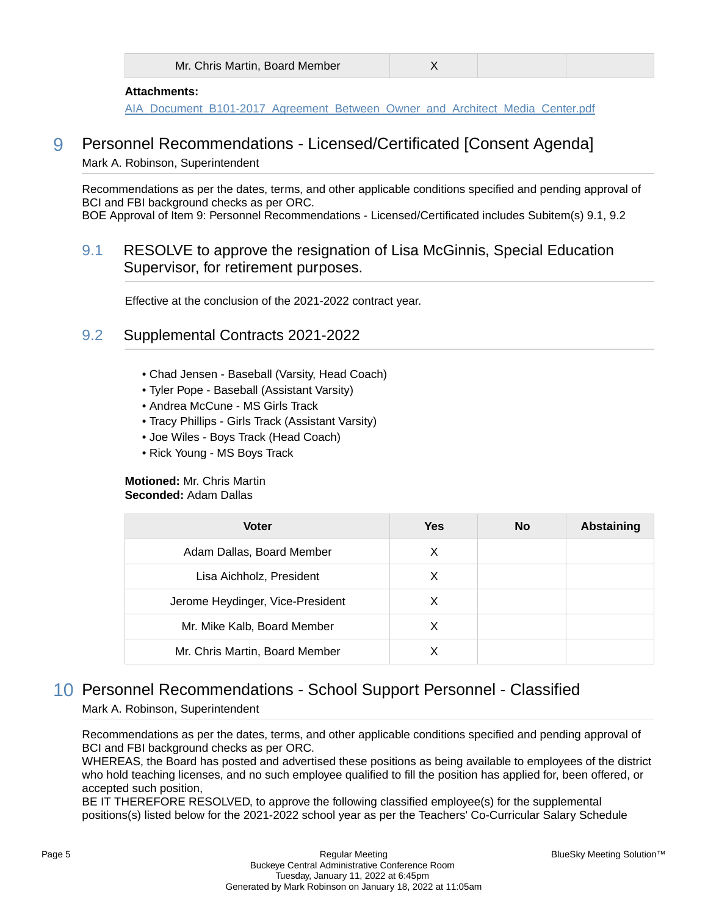|  | Mr. Chris Martin, Board Member |  |
|--|--------------------------------|--|
|--|--------------------------------|--|

#### **Attachments:**

[AIA\\_Document\\_B101-2017\\_Agreement\\_Between\\_Owner\\_and\\_Architect\\_Media\\_Center.pdf](https://bcbucks.blueskymeeting.com/meeting_groups/32/item_attachments/63786)

# 9 Personnel Recommendations - Licensed/Certificated [Consent Agenda]

Mark A. Robinson, Superintendent

Recommendations as per the dates, terms, and other applicable conditions specified and pending approval of BCI and FBI background checks as per ORC. BOE Approval of Item 9: Personnel Recommendations - Licensed/Certificated includes Subitem(s) 9.1, 9.2

### 9.1 RESOLVE to approve the resignation of Lisa McGinnis, Special Education Supervisor, for retirement purposes.

Effective at the conclusion of the 2021-2022 contract year.

### 9.2 Supplemental Contracts 2021-2022

- Chad Jensen Baseball (Varsity, Head Coach)
- Tyler Pope Baseball (Assistant Varsity)
- Andrea McCune MS Girls Track
- Tracy Phillips Girls Track (Assistant Varsity)
- Joe Wiles Boys Track (Head Coach)
- Rick Young MS Boys Track

#### **Motioned:** Mr. Chris Martin **Seconded:** Adam Dallas

| <b>Voter</b>                     | <b>Yes</b> | <b>No</b> | <b>Abstaining</b> |
|----------------------------------|------------|-----------|-------------------|
| Adam Dallas, Board Member        | X          |           |                   |
| Lisa Aichholz, President         | х          |           |                   |
| Jerome Heydinger, Vice-President | X          |           |                   |
| Mr. Mike Kalb, Board Member      | X          |           |                   |
| Mr. Chris Martin, Board Member   |            |           |                   |

# 10 Personnel Recommendations - School Support Personnel - Classified

Mark A. Robinson, Superintendent

Recommendations as per the dates, terms, and other applicable conditions specified and pending approval of BCI and FBI background checks as per ORC.

WHEREAS, the Board has posted and advertised these positions as being available to employees of the district who hold teaching licenses, and no such employee qualified to fill the position has applied for, been offered, or accepted such position,

BE IT THEREFORE RESOLVED, to approve the following classified employee(s) for the supplemental positions(s) listed below for the 2021-2022 school year as per the Teachers' Co-Curricular Salary Schedule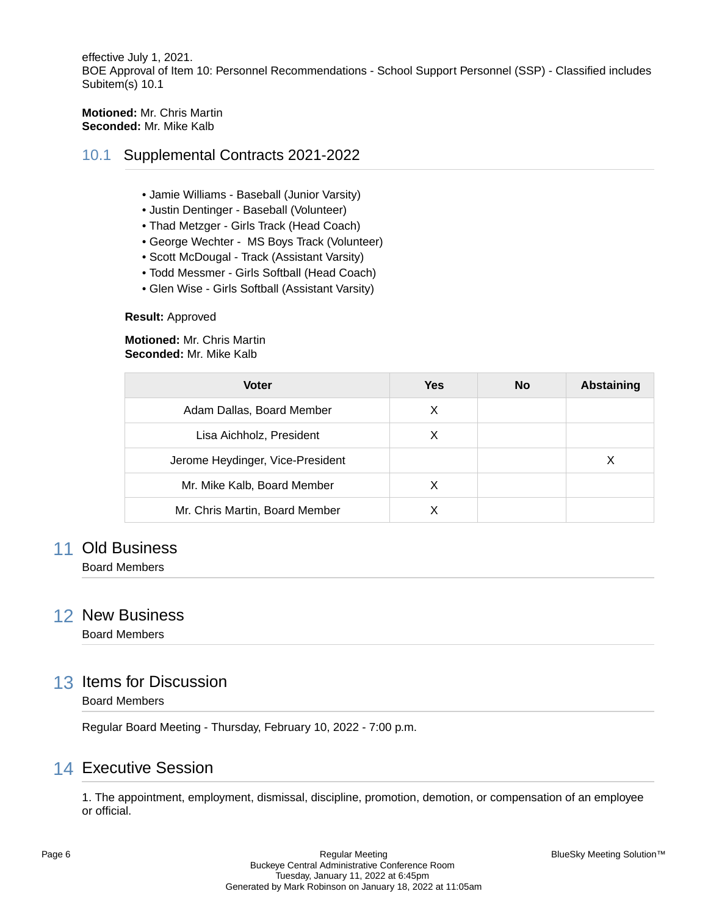effective July 1, 2021. BOE Approval of Item 10: Personnel Recommendations - School Support Personnel (SSP) - Classified includes Subitem(s) 10.1

#### **Motioned:** Mr. Chris Martin **Seconded:** Mr. Mike Kalb

### 10.1 Supplemental Contracts 2021-2022

- Jamie Williams Baseball (Junior Varsity)
- Justin Dentinger Baseball (Volunteer)
- Thad Metzger Girls Track (Head Coach)
- George Wechter MS Boys Track (Volunteer)
- Scott McDougal Track (Assistant Varsity)
- Todd Messmer Girls Softball (Head Coach)
- Glen Wise Girls Softball (Assistant Varsity)

#### **Result:** Approved

**Motioned:** Mr. Chris Martin **Seconded:** Mr. Mike Kalb

| <b>Voter</b>                     | <b>Yes</b> | <b>No</b> | <b>Abstaining</b> |
|----------------------------------|------------|-----------|-------------------|
| Adam Dallas, Board Member        | х          |           |                   |
| Lisa Aichholz, President         | х          |           |                   |
| Jerome Heydinger, Vice-President |            |           | Х                 |
| Mr. Mike Kalb, Board Member      | x          |           |                   |
| Mr. Chris Martin, Board Member   |            |           |                   |

### 11 Old Business

Board Members

### 12 New Business

Board Members

### 13 Items for Discussion

#### Board Members

Regular Board Meeting - Thursday, February 10, 2022 - 7:00 p.m.

# 14 Executive Session

1. The appointment, employment, dismissal, discipline, promotion, demotion, or compensation of an employee or official.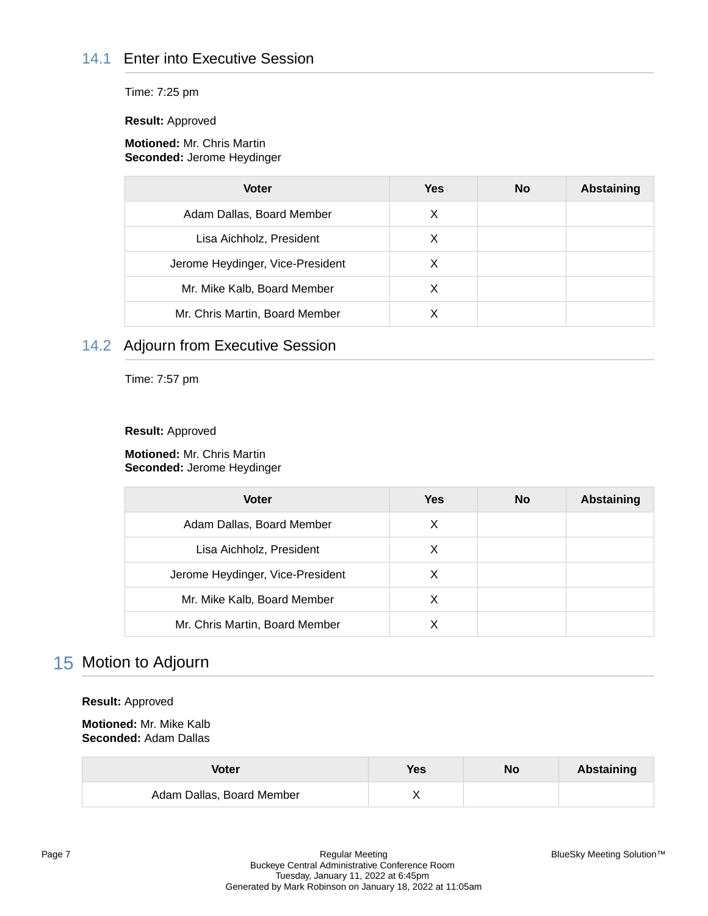# 14.1 Enter into Executive Session

Time: 7:25 pm

**Result:** Approved

#### **Motioned:** Mr. Chris Martin **Seconded:** Jerome Heydinger

| <b>Voter</b>                     | <b>Yes</b> | <b>No</b> | <b>Abstaining</b> |
|----------------------------------|------------|-----------|-------------------|
| Adam Dallas, Board Member        | X          |           |                   |
| Lisa Aichholz, President         | х          |           |                   |
| Jerome Heydinger, Vice-President | х          |           |                   |
| Mr. Mike Kalb, Board Member      | X          |           |                   |
| Mr. Chris Martin, Board Member   |            |           |                   |

# 14.2 Adjourn from Executive Session

Time: 7:57 pm

#### **Result:** Approved

**Motioned:** Mr. Chris Martin **Seconded:** Jerome Heydinger

| <b>Voter</b>                     | <b>Yes</b> | <b>No</b> | <b>Abstaining</b> |
|----------------------------------|------------|-----------|-------------------|
| Adam Dallas, Board Member        | х          |           |                   |
| Lisa Aichholz, President         | х          |           |                   |
| Jerome Heydinger, Vice-President |            |           |                   |
| Mr. Mike Kalb, Board Member      | X          |           |                   |
| Mr. Chris Martin, Board Member   |            |           |                   |

# 15 Motion to Adjourn

#### **Result:** Approved

**Motioned:** Mr. Mike Kalb **Seconded:** Adam Dallas

| Voter                     | Yes | No | <b>Abstaining</b> |
|---------------------------|-----|----|-------------------|
| Adam Dallas, Board Member |     |    |                   |